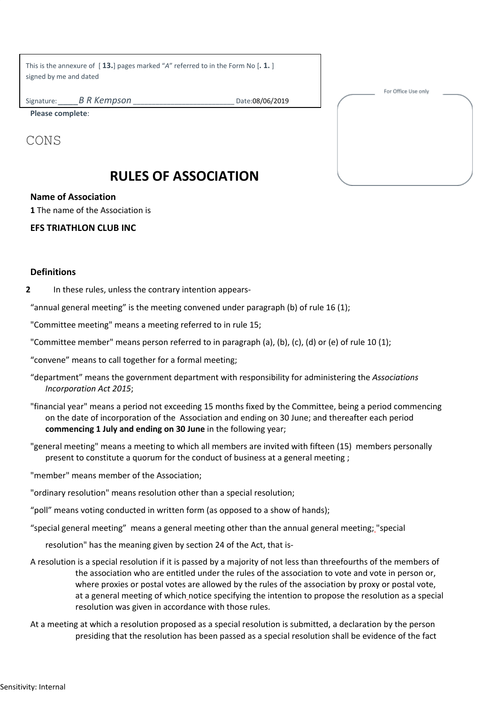This is the annexure of [ **13.**] pages marked "*A*" referred to in the Form No [**. 1.** ] signed by me and dated

Signature: *B R Kempson* **Date:08/06/2019** 

For Office Use only

**Please complete**:

CONS

# **RULES OF ASSOCIATION**

## **Name of Association**

**1** The name of the Association is

# **EFS TRIATHLON CLUB INC**

#### **Definitions**

**2** In these rules, unless the contrary intention appears-

"annual general meeting" is the meeting convened under paragraph (b) of rule 16 (1);

"Committee meeting" means a meeting referred to in rule 15;

"Committee member" means person referred to in paragraph (a), (b), (c), (d) or (e) of rule 10 (1);

"convene" means to call together for a formal meeting;

- "department" means the government department with responsibility for administering the *Associations Incorporation Act 2015*;
- "financial year" means a period not exceeding 15 months fixed by the Committee, being a period commencing on the date of incorporation of the Association and ending on 30 June; and thereafter each period **commencing 1 July and ending on 30 June** in the following year;

"general meeting" means a meeting to which all members are invited with fifteen (15) members personally present to constitute a quorum for the conduct of business at a general meeting ;

"member" means member of the Association;

"ordinary resolution" means resolution other than a special resolution;

"poll" means voting conducted in written form (as opposed to a show of hands);

"special general meeting" means a general meeting other than the annual general meeting; "special

resolution" has the meaning given by section 24 of the Act, that is-

- A resolution is a special resolution if it is passed by a majority of not less than threefourths of the members of the association who are entitled under the rules of the association to vote and vote in person or, where proxies or postal votes are allowed by the rules of the association by proxy or postal vote, at a general meeting of which notice specifying the intention to propose the resolution as a special resolution was given in accordance with those rules.
- At a meeting at which a resolution proposed as a special resolution is submitted, a declaration by the person presiding that the resolution has been passed as a special resolution shall be evidence of the fact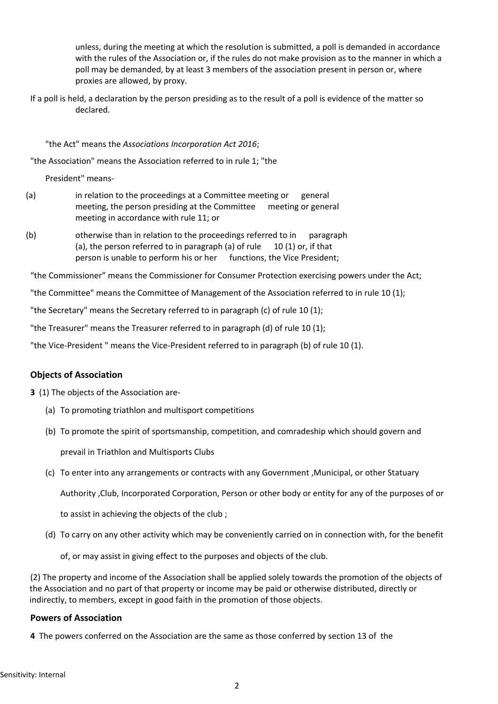unless, during the meeting at which the resolution is submitted, a poll is demanded in accordance with the rules of the Association or, if the rules do not make provision as to the manner in which a poll may be demanded, by at least 3 members of the association present in person or, where proxies are allowed, by proxy.

If a poll is held, a declaration by the person presiding as to the result of a poll is evidence of the matter so declared.

#### "the Act" means the *Associations Incorporation Act 2016*;

"the Association" means the Association referred to in rule 1; "the

President" means-

- (a) in relation to the proceedings at a Committee meeting or general meeting, the person presiding at the Committee meeting or general meeting in accordance with rule 11; or
- (b) otherwise than in relation to the proceedings referred to in paragraph (a), the person referred to in paragraph (a) of rule  $10 (1)$  or, if that person is unable to perform his or her functions, the Vice President;

"the Commissioner" means the Commissioner for Consumer Protection exercising powers under the Act;

"the Committee" means the Committee of Management of the Association referred to in rule 10 (1);

"the Secretary" means the Secretary referred to in paragraph (c) of rule 10 (1);

"the Treasurer" means the Treasurer referred to in paragraph (d) of rule 10 (1);

"the Vice-President " means the Vice-President referred to in paragraph (b) of rule 10 (1).

## **Objects of Association**

- **3** (1) The objects of the Association are-
	- (a) To promoting triathlon and multisport competitions
	- (b) To promote the spirit of sportsmanship, competition, and comradeship which should govern and

prevail in Triathlon and Multisports Clubs

(c) To enter into any arrangements or contracts with any Government ,Municipal, or other Statuary

Authority ,Club, Incorporated Corporation, Person or other body or entity for any of the purposes of or

to assist in achieving the objects of the club ;

- (d) To carry on any other activity which may be conveniently carried on in connection with, for the benefit
	- of, or may assist in giving effect to the purposes and objects of the club.

(2) The property and income of the Association shall be applied solely towards the promotion of the objects of the Association and no part of that property or income may be paid or otherwise distributed, directly or indirectly, to members, except in good faith in the promotion of those objects.

## **Powers of Association**

**4** The powers conferred on the Association are the same as those conferred by section 13 of the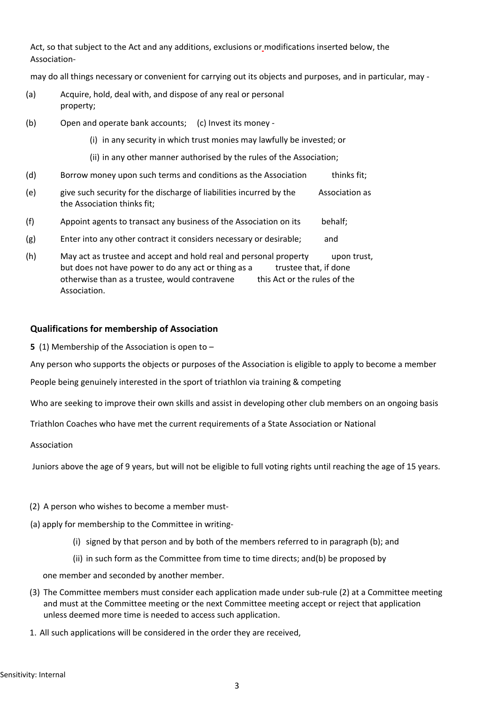Act, so that subject to the Act and any additions, exclusions or modifications inserted below, the Association-

may do all things necessary or convenient for carrying out its objects and purposes, and in particular, may -

- (a) Acquire, hold, deal with, and dispose of any real or personal property;
- (b) Open and operate bank accounts; (c) Invest its money
	- (i) in any security in which trust monies may lawfully be invested; or
	- (ii) in any other manner authorised by the rules of the Association;
- (d) Borrow money upon such terms and conditions as the Association thinks fit;
- (e) give such security for the discharge of liabilities incurred by the Association as the Association thinks fit;
- (f) Appoint agents to transact any business of the Association on its behalf;
- (g) Enter into any other contract it considers necessary or desirable; and
- (h) May act as trustee and accept and hold real and personal property upon trust, but does not have power to do any act or thing as a trustee that, if done otherwise than as a trustee, would contravene this Act or the rules of the Association.

#### **Qualifications for membership of Association**

**5** (1) Membership of the Association is open to –

Any person who supports the objects or purposes of the Association is eligible to apply to become a member

People being genuinely interested in the sport of triathlon via training & competing

Who are seeking to improve their own skills and assist in developing other club members on an ongoing basis

Triathlon Coaches who have met the current requirements of a State Association or National

Association

Juniors above the age of 9 years, but will not be eligible to full voting rights until reaching the age of 15 years.

- (2) A person who wishes to become a member must-
- (a) apply for membership to the Committee in writing-
	- (i) signed by that person and by both of the members referred to in paragraph (b); and
	- (ii) in such form as the Committee from time to time directs; and(b) be proposed by

one member and seconded by another member.

- (3) The Committee members must consider each application made under sub-rule (2) at a Committee meeting and must at the Committee meeting or the next Committee meeting accept or reject that application unless deemed more time is needed to access such application.
- 1. All such applications will be considered in the order they are received,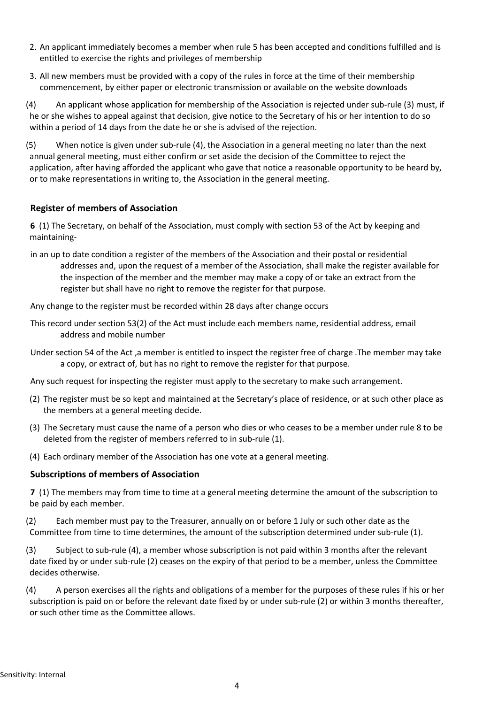- 2. An applicant immediately becomes a member when rule 5 has been accepted and conditions fulfilled and is entitled to exercise the rights and privileges of membership
- 3. All new members must be provided with a copy of the rules in force at the time of their membership commencement, by either paper or electronic transmission or available on the website downloads

(4) An applicant whose application for membership of the Association is rejected under sub-rule (3) must, if he or she wishes to appeal against that decision, give notice to the Secretary of his or her intention to do so within a period of 14 days from the date he or she is advised of the rejection.

(5) When notice is given under sub-rule (4), the Association in a general meeting no later than the next annual general meeting, must either confirm or set aside the decision of the Committee to reject the application, after having afforded the applicant who gave that notice a reasonable opportunity to be heard by, or to make representations in writing to, the Association in the general meeting.

## **Register of members of Association**

**6** (1) The Secretary, on behalf of the Association, must comply with section 53 of the Act by keeping and maintaining-

in an up to date condition a register of the members of the Association and their postal or residential addresses and, upon the request of a member of the Association, shall make the register available for the inspection of the member and the member may make a copy of or take an extract from the register but shall have no right to remove the register for that purpose.

Any change to the register must be recorded within 28 days after change occurs

- This record under section 53(2) of the Act must include each members name, residential address, email address and mobile number
- Under section 54 of the Act ,a member is entitled to inspect the register free of charge .The member may take a copy, or extract of, but has no right to remove the register for that purpose.

Any such request for inspecting the register must apply to the secretary to make such arrangement.

- (2) The register must be so kept and maintained at the Secretary's place of residence, or at such other place as the members at a general meeting decide.
- (3) The Secretary must cause the name of a person who dies or who ceases to be a member under rule 8 to be deleted from the register of members referred to in sub-rule (1).
- (4) Each ordinary member of the Association has one vote at a general meeting.

## **Subscriptions of members of Association**

**7** (1) The members may from time to time at a general meeting determine the amount of the subscription to be paid by each member.

- (2) Each member must pay to the Treasurer, annually on or before 1 July or such other date as the Committee from time to time determines, the amount of the subscription determined under sub-rule (1).
- (3) Subject to sub-rule (4), a member whose subscription is not paid within 3 months after the relevant date fixed by or under sub-rule (2) ceases on the expiry of that period to be a member, unless the Committee decides otherwise.
- (4) A person exercises all the rights and obligations of a member for the purposes of these rules if his or her subscription is paid on or before the relevant date fixed by or under sub-rule (2) or within 3 months thereafter, or such other time as the Committee allows.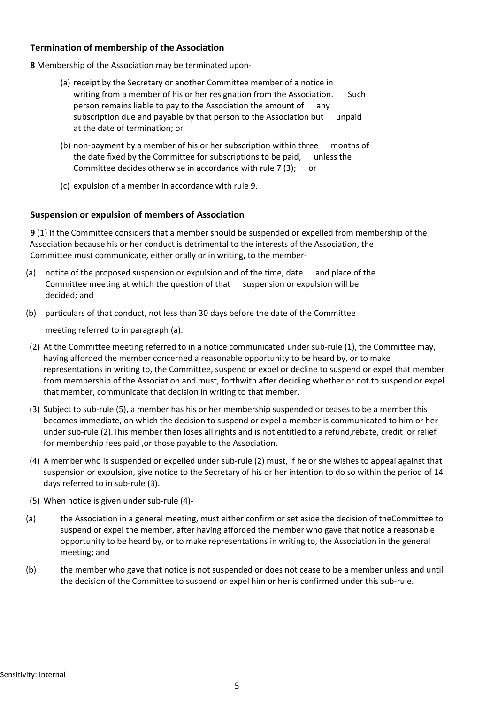## **Termination of membership of the Association**

**8** Membership of the Association may be terminated upon-

- (a) receipt by the Secretary or another Committee member of a notice in writing from a member of his or her resignation from the Association. Such person remains liable to pay to the Association the amount of any subscription due and payable by that person to the Association but unpaid at the date of termination; or
- (b) non-payment by a member of his or her subscription within three months of the date fixed by the Committee for subscriptions to be paid, unless the Committee decides otherwise in accordance with rule 7 (3); or
- (c) expulsion of a member in accordance with rule 9.

## **Suspension or expulsion of members of Association**

**9** (1) If the Committee considers that a member should be suspended or expelled from membership of the Association because his or her conduct is detrimental to the interests of the Association, the Committee must communicate, either orally or in writing, to the member-

- (a) notice of the proposed suspension or expulsion and of the time, date and place of the Committee meeting at which the question of that suspension or expulsion will be decided; and
- (b) particulars of that conduct, not less than 30 days before the date of the Committee

meeting referred to in paragraph (a).

- (2) At the Committee meeting referred to in a notice communicated under sub-rule (1), the Committee may, having afforded the member concerned a reasonable opportunity to be heard by, or to make representations in writing to, the Committee, suspend or expel or decline to suspend or expel that member from membership of the Association and must, forthwith after deciding whether or not to suspend or expel that member, communicate that decision in writing to that member.
- (3) Subject to sub-rule (5), a member has his or her membership suspended or ceases to be a member this becomes immediate, on which the decision to suspend or expel a member is communicated to him or her under sub-rule (2).This member then loses all rights and is not entitled to a refund,rebate, credit or relief for membership fees paid ,or those payable to the Association.
- (4) A member who is suspended or expelled under sub-rule (2) must, if he or she wishes to appeal against that suspension or expulsion, give notice to the Secretary of his or her intention to do so within the period of 14 days referred to in sub-rule (3).
- (5) When notice is given under sub-rule (4)-
- (a) the Association in a general meeting, must either confirm or set aside the decision of theCommittee to suspend or expel the member, after having afforded the member who gave that notice a reasonable opportunity to be heard by, or to make representations in writing to, the Association in the general meeting; and
- (b) the member who gave that notice is not suspended or does not cease to be a member unless and until the decision of the Committee to suspend or expel him or her is confirmed under this sub-rule.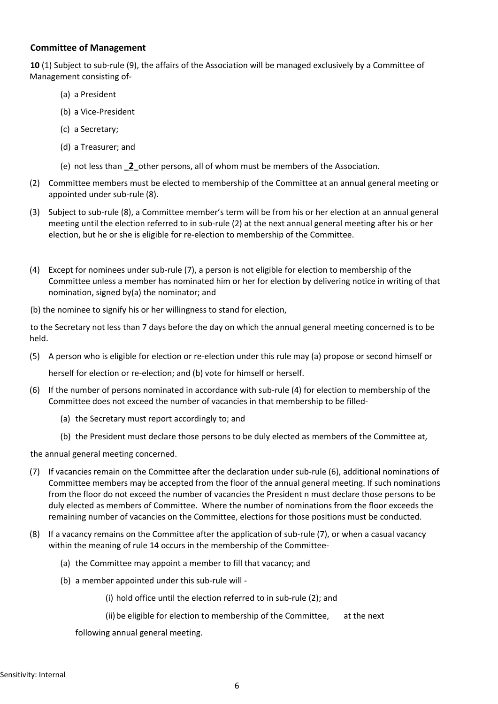#### **Committee of Management**

**10** (1) Subject to sub-rule (9), the affairs of the Association will be managed exclusively by a Committee of Management consisting of-

- (a) a President
- (b) a Vice-President
- (c) a Secretary;
- (d) a Treasurer; and
- (e) not less than **\_2\_**other persons, all of whom must be members of the Association.
- (2) Committee members must be elected to membership of the Committee at an annual general meeting or appointed under sub-rule (8).
- (3) Subject to sub-rule (8), a Committee member's term will be from his or her election at an annual general meeting until the election referred to in sub-rule (2) at the next annual general meeting after his or her election, but he or she is eligible for re-election to membership of the Committee.
- (4) Except for nominees under sub-rule (7), a person is not eligible for election to membership of the Committee unless a member has nominated him or her for election by delivering notice in writing of that nomination, signed by(a) the nominator; and

(b) the nominee to signify his or her willingness to stand for election,

to the Secretary not less than 7 days before the day on which the annual general meeting concerned is to be held.

(5) A person who is eligible for election or re-election under this rule may (a) propose or second himself or

herself for election or re-election; and (b) vote for himself or herself.

- (6) If the number of persons nominated in accordance with sub-rule (4) for election to membership of the Committee does not exceed the number of vacancies in that membership to be filled-
	- (a) the Secretary must report accordingly to; and
	- (b) the President must declare those persons to be duly elected as members of the Committee at,

the annual general meeting concerned.

- (7) If vacancies remain on the Committee after the declaration under sub-rule (6), additional nominations of Committee members may be accepted from the floor of the annual general meeting. If such nominations from the floor do not exceed the number of vacancies the President n must declare those persons to be duly elected as members of Committee. Where the number of nominations from the floor exceeds the remaining number of vacancies on the Committee, elections for those positions must be conducted.
- (8) If a vacancy remains on the Committee after the application of sub-rule (7), or when a casual vacancy within the meaning of rule 14 occurs in the membership of the Committee-
	- (a) the Committee may appoint a member to fill that vacancy; and
	- (b) a member appointed under this sub-rule will
		- (i) hold office until the election referred to in sub-rule (2); and

(ii)be eligible for election to membership of the Committee, at the next

following annual general meeting.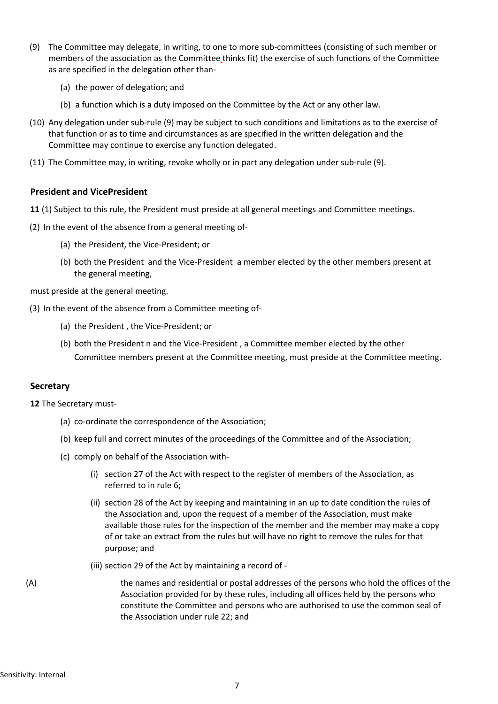- (9) The Committee may delegate, in writing, to one to more sub-committees (consisting of such member or members of the association as the Committee thinks fit) the exercise of such functions of the Committee as are specified in the delegation other than-
	- (a) the power of delegation; and
	- (b) a function which is a duty imposed on the Committee by the Act or any other law.
- (10) Any delegation under sub-rule (9) may be subject to such conditions and limitations as to the exercise of that function or as to time and circumstances as are specified in the written delegation and the Committee may continue to exercise any function delegated.
- (11) The Committee may, in writing, revoke wholly or in part any delegation under sub-rule (9).

#### **President and VicePresident**

- **11** (1) Subject to this rule, the President must preside at all general meetings and Committee meetings.
- (2) In the event of the absence from a general meeting of-
	- (a) the President, the Vice-President; or
	- (b) both the President and the Vice-President a member elected by the other members present at the general meeting,

must preside at the general meeting.

- (3) In the event of the absence from a Committee meeting of-
	- (a) the President , the Vice-President; or
	- (b) both the President n and the Vice-President , a Committee member elected by the other Committee members present at the Committee meeting, must preside at the Committee meeting.

#### **Secretary**

**12** The Secretary must-

- (a) co-ordinate the correspondence of the Association;
- (b) keep full and correct minutes of the proceedings of the Committee and of the Association;
- (c) comply on behalf of the Association with-
	- (i) section 27 of the Act with respect to the register of members of the Association, as referred to in rule 6;
	- (ii) section 28 of the Act by keeping and maintaining in an up to date condition the rules of the Association and, upon the request of a member of the Association, must make available those rules for the inspection of the member and the member may make a copy of or take an extract from the rules but will have no right to remove the rules for that purpose; and
	- (iii) section 29 of the Act by maintaining a record of -
- (A) the names and residential or postal addresses of the persons who hold the offices of the Association provided for by these rules, including all offices held by the persons who constitute the Committee and persons who are authorised to use the common seal of the Association under rule 22; and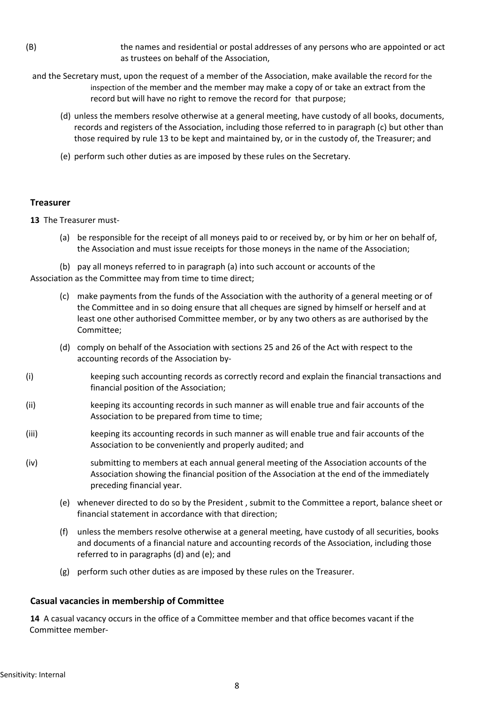- (B) the names and residential or postal addresses of any persons who are appointed or act as trustees on behalf of the Association,
	- and the Secretary must, upon the request of a member of the Association, make available the record for the inspection of the member and the member may make a copy of or take an extract from the record but will have no right to remove the record for that purpose;
		- (d) unless the members resolve otherwise at a general meeting, have custody of all books, documents, records and registers of the Association, including those referred to in paragraph (c) but other than those required by rule 13 to be kept and maintained by, or in the custody of, the Treasurer; and
		- (e) perform such other duties as are imposed by these rules on the Secretary.

## **Treasurer**

**13** The Treasurer must-

(a) be responsible for the receipt of all moneys paid to or received by, or by him or her on behalf of, the Association and must issue receipts for those moneys in the name of the Association;

(b) pay all moneys referred to in paragraph (a) into such account or accounts of the Association as the Committee may from time to time direct;

- (c) make payments from the funds of the Association with the authority of a general meeting or of the Committee and in so doing ensure that all cheques are signed by himself or herself and at least one other authorised Committee member, or by any two others as are authorised by the Committee;
- (d) comply on behalf of the Association with sections 25 and 26 of the Act with respect to the accounting records of the Association by-
- (i) keeping such accounting records as correctly record and explain the financial transactions and financial position of the Association;
- (ii) keeping its accounting records in such manner as will enable true and fair accounts of the Association to be prepared from time to time;
- (iii) keeping its accounting records in such manner as will enable true and fair accounts of the Association to be conveniently and properly audited; and
- (iv) submitting to members at each annual general meeting of the Association accounts of the Association showing the financial position of the Association at the end of the immediately preceding financial year.
	- (e) whenever directed to do so by the President , submit to the Committee a report, balance sheet or financial statement in accordance with that direction;
	- (f) unless the members resolve otherwise at a general meeting, have custody of all securities, books and documents of a financial nature and accounting records of the Association, including those referred to in paragraphs (d) and (e); and
	- (g) perform such other duties as are imposed by these rules on the Treasurer.

## **Casual vacancies in membership of Committee**

**14** A casual vacancy occurs in the office of a Committee member and that office becomes vacant if the Committee member-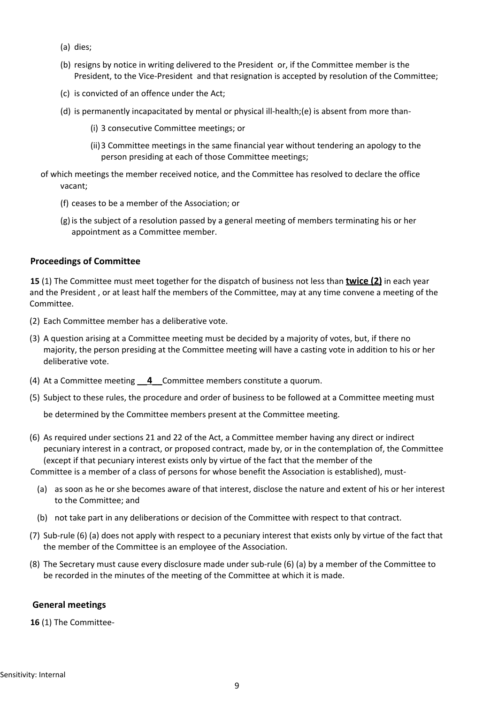- (a) dies;
- (b) resigns by notice in writing delivered to the President or, if the Committee member is the President, to the Vice-President and that resignation is accepted by resolution of the Committee;
- (c) is convicted of an offence under the Act;
- (d) is permanently incapacitated by mental or physical ill-health;(e) is absent from more than-
	- (i) 3 consecutive Committee meetings; or
	- (ii)3 Committee meetings in the same financial year without tendering an apology to the person presiding at each of those Committee meetings;
- of which meetings the member received notice, and the Committee has resolved to declare the office vacant;
	- (f) ceases to be a member of the Association; or
	- (g)is the subject of a resolution passed by a general meeting of members terminating his or her appointment as a Committee member.

#### **Proceedings of Committee**

**15** (1) The Committee must meet together for the dispatch of business not less than **twice (2)** in each year and the President , or at least half the members of the Committee, may at any time convene a meeting of the Committee.

- (2) Each Committee member has a deliberative vote.
- (3) A question arising at a Committee meeting must be decided by a majority of votes, but, if there no majority, the person presiding at the Committee meeting will have a casting vote in addition to his or her deliberative vote.
- (4) At a Committee meeting **\_\_4\_\_**Committee members constitute a quorum.
- (5) Subject to these rules, the procedure and order of business to be followed at a Committee meeting must

be determined by the Committee members present at the Committee meeting.

(6) As required under sections 21 and 22 of the Act, a Committee member having any direct or indirect pecuniary interest in a contract, or proposed contract, made by, or in the contemplation of, the Committee (except if that pecuniary interest exists only by virtue of the fact that the member of the

Committee is a member of a class of persons for whose benefit the Association is established), must-

- (a) as soon as he or she becomes aware of that interest, disclose the nature and extent of his or her interest to the Committee; and
- (b) not take part in any deliberations or decision of the Committee with respect to that contract.
- (7) Sub-rule (6) (a) does not apply with respect to a pecuniary interest that exists only by virtue of the fact that the member of the Committee is an employee of the Association.
- (8) The Secretary must cause every disclosure made under sub-rule (6) (a) by a member of the Committee to be recorded in the minutes of the meeting of the Committee at which it is made.

#### **General meetings**

**16** (1) The Committee-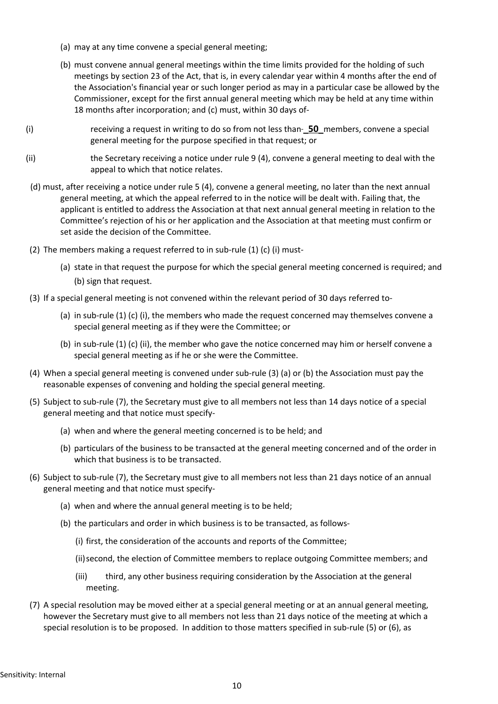- (a) may at any time convene a special general meeting;
- (b) must convene annual general meetings within the time limits provided for the holding of such meetings by section 23 of the Act, that is, in every calendar year within 4 months after the end of the Association's financial year or such longer period as may in a particular case be allowed by the Commissioner, except for the first annual general meeting which may be held at any time within 18 months after incorporation; and (c) must, within 30 days of-
- (i) receiving a request in writing to do so from not less than **\_50\_**members, convene a special general meeting for the purpose specified in that request; or
- (ii) the Secretary receiving a notice under rule 9 (4), convene a general meeting to deal with the appeal to which that notice relates.
- (d) must, after receiving a notice under rule 5 (4), convene a general meeting, no later than the next annual general meeting, at which the appeal referred to in the notice will be dealt with. Failing that, the applicant is entitled to address the Association at that next annual general meeting in relation to the Committee's rejection of his or her application and the Association at that meeting must confirm or set aside the decision of the Committee.
- (2) The members making a request referred to in sub-rule (1) (c) (i) must-
	- (a) state in that request the purpose for which the special general meeting concerned is required; and (b) sign that request.
- (3) If a special general meeting is not convened within the relevant period of 30 days referred to-
	- (a) in sub-rule (1) (c) (i), the members who made the request concerned may themselves convene a special general meeting as if they were the Committee; or
	- (b) in sub-rule (1) (c) (ii), the member who gave the notice concerned may him or herself convene a special general meeting as if he or she were the Committee.
- (4) When a special general meeting is convened under sub-rule (3) (a) or (b) the Association must pay the reasonable expenses of convening and holding the special general meeting.
- (5) Subject to sub-rule (7), the Secretary must give to all members not less than 14 days notice of a special general meeting and that notice must specify-
	- (a) when and where the general meeting concerned is to be held; and
	- (b) particulars of the business to be transacted at the general meeting concerned and of the order in which that business is to be transacted.
- (6) Subject to sub-rule (7), the Secretary must give to all members not less than 21 days notice of an annual general meeting and that notice must specify-
	- (a) when and where the annual general meeting is to be held;
	- (b) the particulars and order in which business is to be transacted, as follows-
		- (i) first, the consideration of the accounts and reports of the Committee;
		- (ii)second, the election of Committee members to replace outgoing Committee members; and
		- (iii) third, any other business requiring consideration by the Association at the general meeting.
- (7) A special resolution may be moved either at a special general meeting or at an annual general meeting, however the Secretary must give to all members not less than 21 days notice of the meeting at which a special resolution is to be proposed. In addition to those matters specified in sub-rule (5) or (6), as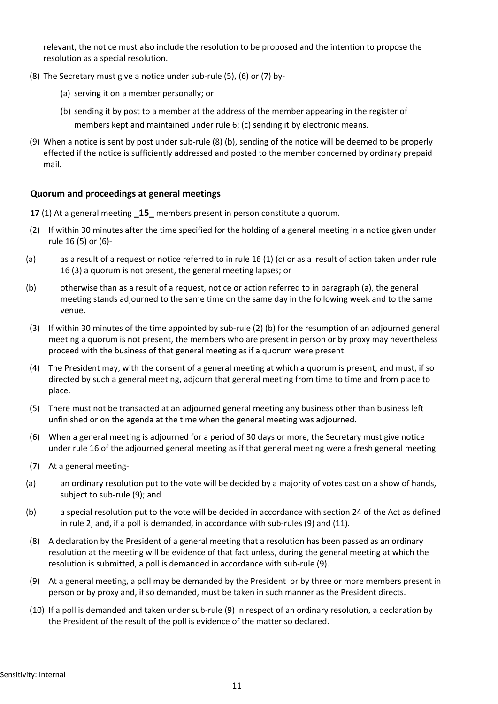relevant, the notice must also include the resolution to be proposed and the intention to propose the resolution as a special resolution.

- (8) The Secretary must give a notice under sub-rule (5), (6) or (7) by-
	- (a) serving it on a member personally; or
	- (b) sending it by post to a member at the address of the member appearing in the register of members kept and maintained under rule 6; (c) sending it by electronic means.
- (9) When a notice is sent by post under sub-rule (8) (b), sending of the notice will be deemed to be properly effected if the notice is sufficiently addressed and posted to the member concerned by ordinary prepaid mail.

## **Quorum and proceedings at general meetings**

- **17** (1) At a general meeting **\_15\_** members present in person constitute a quorum.
- (2) If within 30 minutes after the time specified for the holding of a general meeting in a notice given under rule 16 (5) or (6)-
- (a) as a result of a request or notice referred to in rule 16 (1) (c) or as a result of action taken under rule 16 (3) a quorum is not present, the general meeting lapses; or
- (b) otherwise than as a result of a request, notice or action referred to in paragraph (a), the general meeting stands adjourned to the same time on the same day in the following week and to the same venue.
- (3) If within 30 minutes of the time appointed by sub-rule (2) (b) for the resumption of an adjourned general meeting a quorum is not present, the members who are present in person or by proxy may nevertheless proceed with the business of that general meeting as if a quorum were present.
- (4) The President may, with the consent of a general meeting at which a quorum is present, and must, if so directed by such a general meeting, adjourn that general meeting from time to time and from place to place.
- (5) There must not be transacted at an adjourned general meeting any business other than business left unfinished or on the agenda at the time when the general meeting was adjourned.
- (6) When a general meeting is adjourned for a period of 30 days or more, the Secretary must give notice under rule 16 of the adjourned general meeting as if that general meeting were a fresh general meeting.
- (7) At a general meeting-
- (a) an ordinary resolution put to the vote will be decided by a majority of votes cast on a show of hands, subject to sub-rule (9); and
- (b) a special resolution put to the vote will be decided in accordance with section 24 of the Act as defined in rule 2, and, if a poll is demanded, in accordance with sub-rules (9) and (11).
- (8) A declaration by the President of a general meeting that a resolution has been passed as an ordinary resolution at the meeting will be evidence of that fact unless, during the general meeting at which the resolution is submitted, a poll is demanded in accordance with sub-rule (9).
- (9) At a general meeting, a poll may be demanded by the President or by three or more members present in person or by proxy and, if so demanded, must be taken in such manner as the President directs.
- (10) If a poll is demanded and taken under sub-rule (9) in respect of an ordinary resolution, a declaration by the President of the result of the poll is evidence of the matter so declared.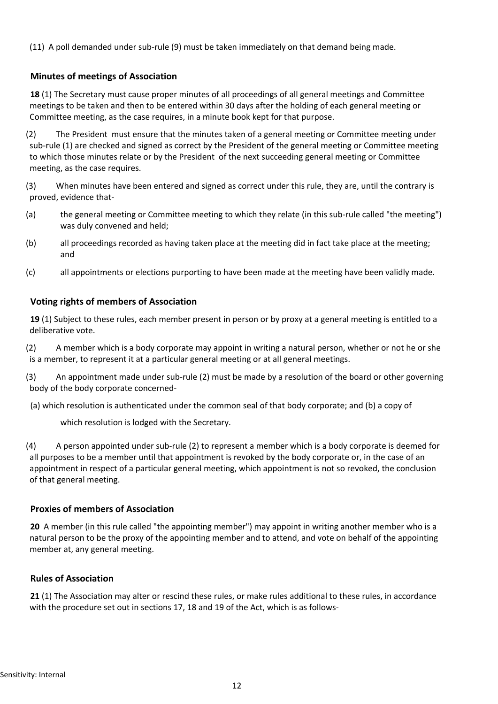(11) A poll demanded under sub-rule (9) must be taken immediately on that demand being made.

# **Minutes of meetings of Association**

**18** (1) The Secretary must cause proper minutes of all proceedings of all general meetings and Committee meetings to be taken and then to be entered within 30 days after the holding of each general meeting or Committee meeting, as the case requires, in a minute book kept for that purpose.

(2) The President must ensure that the minutes taken of a general meeting or Committee meeting under sub-rule (1) are checked and signed as correct by the President of the general meeting or Committee meeting to which those minutes relate or by the President of the next succeeding general meeting or Committee meeting, as the case requires.

(3) When minutes have been entered and signed as correct under this rule, they are, until the contrary is proved, evidence that-

- (a) the general meeting or Committee meeting to which they relate (in this sub-rule called "the meeting") was duly convened and held;
- (b) all proceedings recorded as having taken place at the meeting did in fact take place at the meeting; and
- (c) all appointments or elections purporting to have been made at the meeting have been validly made.

# **Voting rights of members of Association**

**19** (1) Subject to these rules, each member present in person or by proxy at a general meeting is entitled to a deliberative vote.

(2) A member which is a body corporate may appoint in writing a natural person, whether or not he or she is a member, to represent it at a particular general meeting or at all general meetings.

(3) An appointment made under sub-rule (2) must be made by a resolution of the board or other governing body of the body corporate concerned-

(a) which resolution is authenticated under the common seal of that body corporate; and (b) a copy of

which resolution is lodged with the Secretary.

(4) A person appointed under sub-rule (2) to represent a member which is a body corporate is deemed for all purposes to be a member until that appointment is revoked by the body corporate or, in the case of an appointment in respect of a particular general meeting, which appointment is not so revoked, the conclusion of that general meeting.

## **Proxies of members of Association**

**20** A member (in this rule called "the appointing member") may appoint in writing another member who is a natural person to be the proxy of the appointing member and to attend, and vote on behalf of the appointing member at, any general meeting.

## **Rules of Association**

**21** (1) The Association may alter or rescind these rules, or make rules additional to these rules, in accordance with the procedure set out in sections 17, 18 and 19 of the Act, which is as follows-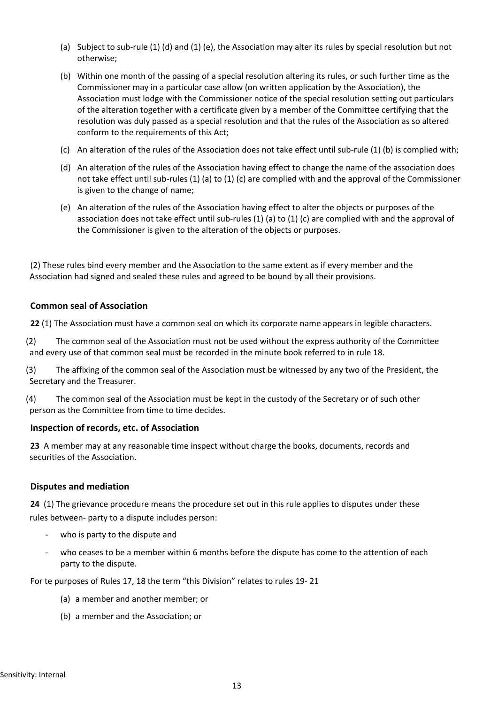- (a) Subject to sub-rule (1) (d) and (1) (e), the Association may alter its rules by special resolution but not otherwise;
- (b) Within one month of the passing of a special resolution altering its rules, or such further time as the Commissioner may in a particular case allow (on written application by the Association), the Association must lodge with the Commissioner notice of the special resolution setting out particulars of the alteration together with a certificate given by a member of the Committee certifying that the resolution was duly passed as a special resolution and that the rules of the Association as so altered conform to the requirements of this Act;
- (c) An alteration of the rules of the Association does not take effect until sub-rule (1) (b) is complied with;
- (d) An alteration of the rules of the Association having effect to change the name of the association does not take effect until sub-rules (1) (a) to (1) (c) are complied with and the approval of the Commissioner is given to the change of name;
- (e) An alteration of the rules of the Association having effect to alter the objects or purposes of the association does not take effect until sub-rules (1) (a) to (1) (c) are complied with and the approval of the Commissioner is given to the alteration of the objects or purposes.

(2) These rules bind every member and the Association to the same extent as if every member and the Association had signed and sealed these rules and agreed to be bound by all their provisions.

## **Common seal of Association**

**22** (1) The Association must have a common seal on which its corporate name appears in legible characters.

(2) The common seal of the Association must not be used without the express authority of the Committee and every use of that common seal must be recorded in the minute book referred to in rule 18.

(3) The affixing of the common seal of the Association must be witnessed by any two of the President, the Secretary and the Treasurer.

(4) The common seal of the Association must be kept in the custody of the Secretary or of such other person as the Committee from time to time decides.

## **Inspection of records, etc. of Association**

**23** A member may at any reasonable time inspect without charge the books, documents, records and securities of the Association.

## **Disputes and mediation**

**24** (1) The grievance procedure means the procedure set out in this rule applies to disputes under these rules between- party to a dispute includes person:

- who is party to the dispute and
- who ceases to be a member within 6 months before the dispute has come to the attention of each party to the dispute.

For te purposes of Rules 17, 18 the term "this Division" relates to rules 19- 21

- (a) a member and another member; or
- (b) a member and the Association; or